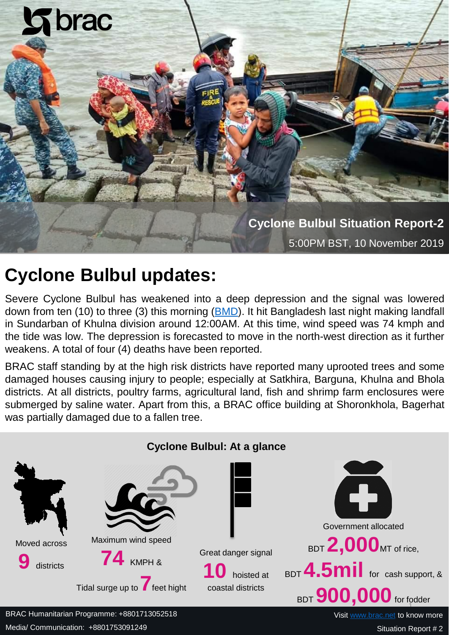

# **Cyclone Bulbul updates:**

Severe Cyclone Bulbul has weakened into a deep depression and the signal was lowered down from ten (10) to three (3) this morning ([BMD](http://www.bmd.gov.bd/)). It hit Bangladesh last night making landfall in Sundarban of Khulna division around 12:00AM. At this time, wind speed was 74 kmph and the tide was low. The depression is forecasted to move in the north-west direction as it further weakens. A total of four (4) deaths have been reported.

BRAC staff standing by at the high risk districts have reported many uprooted trees and some damaged houses causing injury to people; especially at Satkhira, Barguna, Khulna and Bhola districts. At all districts, poultry farms, agricultural land, fish and shrimp farm enclosures were submerged by saline water. Apart from this, a BRAC office building at Shoronkhola, Bagerhat was partially damaged due to a fallen tree.



Media/ Communication: +8801753091249

Situation Report # 2